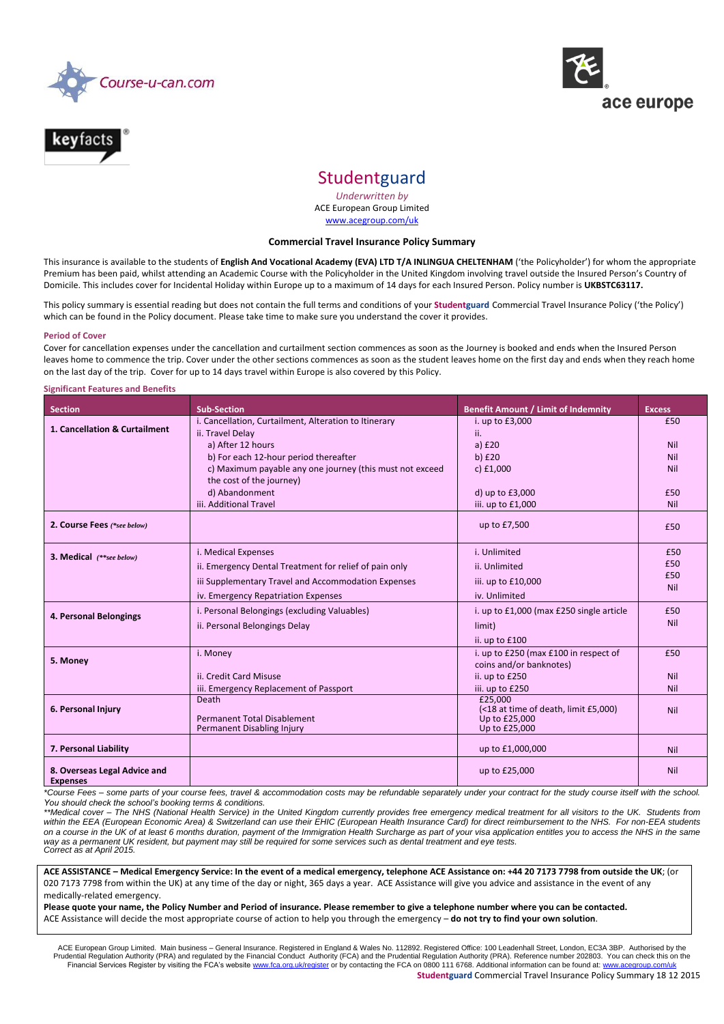



# **Studentguard**

*Underwritten by* ACE European Group Limited [www.acegroup.com/uk](http://www.acegroup.com/uk)

## **Commercial Travel Insurance Policy Summary**

This insurance is available to the students of **English And Vocational Academy (EVA) LTD T/A INLINGUA CHELTENHAM** ('the Policyholder') for whom the appropriate Premium has been paid, whilst attending an Academic Course with the Policyholder in the United Kingdom involving travel outside the Insured Person's Country of Domicile. This includes cover for Incidental Holiday within Europe up to a maximum of 14 days for each Insured Person. Policy number is **UKBSTC63117.**

This policy summary is essential reading but does not contain the full terms and conditions of your **Studentguard** Commercial Travel Insurance Policy ('the Policy') which can be found in the Policy document. Please take time to make sure you understand the cover it provides.

#### **Period of Cover**

Cover for cancellation expenses under the cancellation and curtailment section commences as soon as the Journey is booked and ends when the Insured Person leaves home to commence the trip. Cover under the other sections commences as soon as the student leaves home on the first day and ends when they reach home on the last day of the trip. Cover for up to 14 days travel within Europe is also covered by this Policy.

#### **Significant Features and Benefits**

| <b>Section</b>                                  | <b>Sub-Section</b>                                       | <b>Benefit Amount / Limit of Indemnity</b> | <b>Excess</b> |
|-------------------------------------------------|----------------------------------------------------------|--------------------------------------------|---------------|
|                                                 | i. Cancellation, Curtailment, Alteration to Itinerary    | i. up to £3,000                            | £50           |
| 1. Cancellation & Curtailment                   | ii. Travel Delay                                         | ii.                                        |               |
|                                                 | a) After 12 hours                                        | a) $£20$                                   | Nil           |
|                                                 | b) For each 12-hour period thereafter                    | $b)$ £20                                   | Nil           |
|                                                 | c) Maximum payable any one journey (this must not exceed | $c)$ £1,000                                | Nil           |
|                                                 | the cost of the journey)                                 |                                            |               |
|                                                 | d) Abandonment                                           | d) up to £3,000                            | £50           |
|                                                 | iii. Additional Travel                                   | iii. up to £1,000                          | Nil           |
| 2. Course Fees (*see below)                     |                                                          | up to £7,500                               | £50           |
|                                                 |                                                          |                                            |               |
| 3. Medical (**see below)                        | i. Medical Expenses                                      | i. Unlimited                               | £50           |
|                                                 | ii. Emergency Dental Treatment for relief of pain only   | ii. Unlimited                              | £50           |
|                                                 | iii Supplementary Travel and Accommodation Expenses      | iii. up to £10,000                         | £50<br>Nil    |
|                                                 | iv. Emergency Repatriation Expenses                      | iv. Unlimited                              |               |
| 4. Personal Belongings                          | i. Personal Belongings (excluding Valuables)             | i. up to £1,000 (max £250 single article   | £50           |
|                                                 | ii. Personal Belongings Delay                            | limit)                                     | Nil           |
|                                                 |                                                          | ii. up to £100                             |               |
|                                                 | i. Money                                                 | i. up to £250 (max £100 in respect of      | £50           |
| 5. Money                                        |                                                          | coins and/or banknotes)                    |               |
|                                                 | ii. Credit Card Misuse                                   | ii. up to £250                             | Nil           |
|                                                 | iii. Emergency Replacement of Passport                   | iii. up to £250<br>£25,000                 | Nil           |
| 6. Personal Injury                              | Death                                                    | (<18 at time of death, limit £5,000)       | Nil           |
|                                                 | <b>Permanent Total Disablement</b>                       | Up to £25,000                              |               |
|                                                 | Permanent Disabling Injury                               | Up to £25,000                              |               |
| 7. Personal Liability                           |                                                          | up to £1,000,000                           | Nil           |
|                                                 |                                                          |                                            |               |
| 8. Overseas Legal Advice and<br><b>Expenses</b> |                                                          | up to £25,000                              | <b>Nil</b>    |

*\*Course Fees – some parts of your course fees, travel & accommodation costs may be refundable separately under your contract for the study course itself with the school. You should check the school's booking terms & conditions.*

*\*\*Medical cover – The NHS (National Health Service) in the United Kingdom currently provides free emergency medical treatment for all visitors to the UK. Students from within the EEA (European Economic Area) & Switzerland can use their EHIC (European Health Insurance Card) for direct reimbursement to the NHS. For non-EEA students on a course in the UK of at least 6 months duration, payment of the Immigration Health Surcharge as part of your visa application entitles you to access the NHS in the same way as a permanent UK resident, but payment may still be required for some services such as dental treatment and eye tests. Correct as at April 2015.* 

**ACE ASSISTANCE – Medical Emergency Service: In the event of a medical emergency, telephone ACE Assistance on: +44 20 7173 7798 from outside the UK**; (or 020 7173 7798 from within the UK) at any time of the day or night, 365 days a year. ACE Assistance will give you advice and assistance in the event of any medically-related emergency.

**Please quote your name, the Policy Number and Period of insurance. Please remember to give a telephone number where you can be contacted.** ACE Assistance will decide the most appropriate course of action to help you through the emergency – **do not try to find your own solution**.

ACE European Group Limited. Main business – General Insurance. Registered in England & Wales No. 112892. Registered Office: 100 Leadenhall Street, London, EC3A 3BP. Authorised by the<br>Prudential Regulation Authority (PRA) a